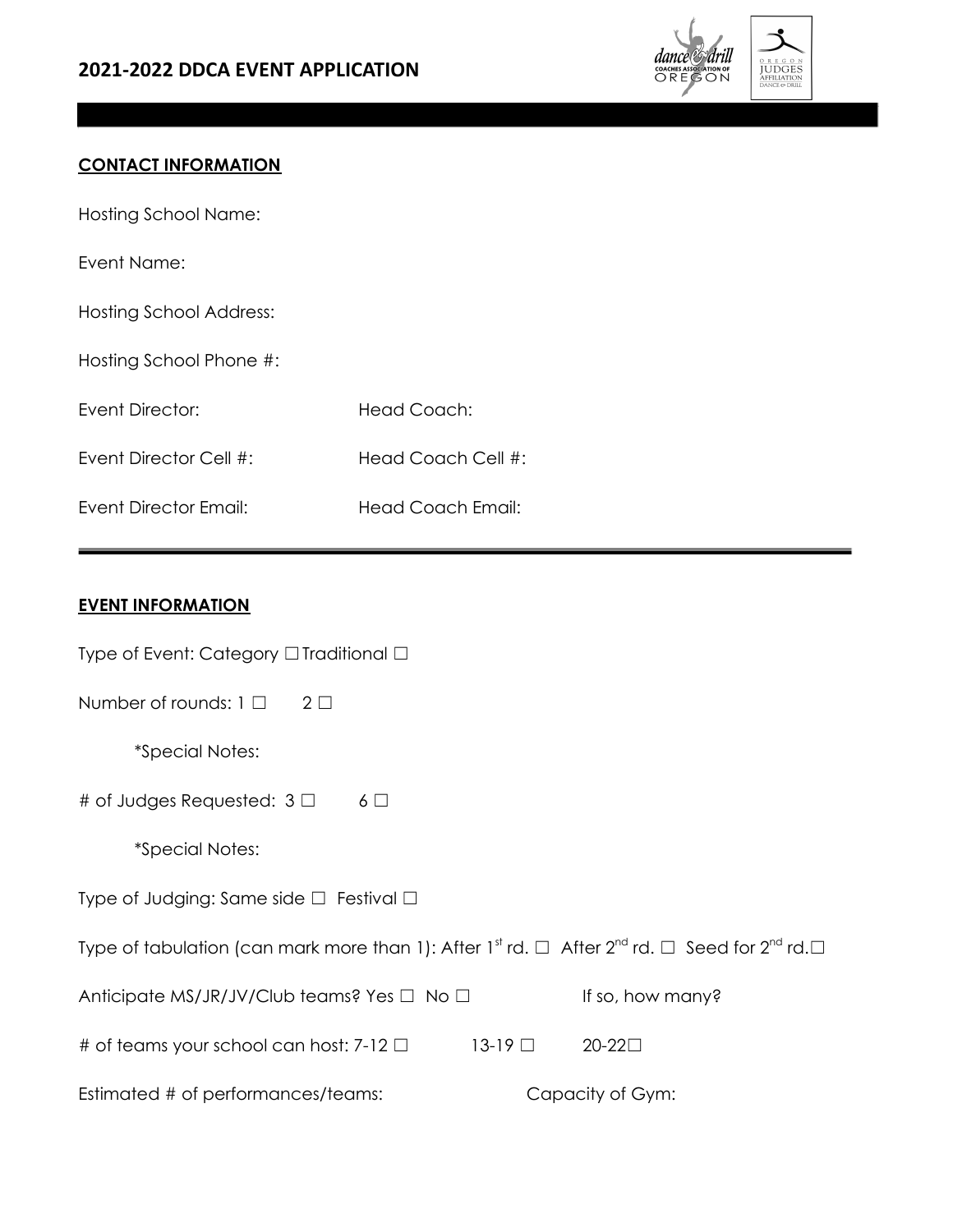

### **CONTACT INFORMATION**

Hosting School Name:

Event Name:

| <b>Hosting School Address:</b> |
|--------------------------------|
|--------------------------------|

Hosting School Phone #:

Event Director: Head Coach:

Event Director Cell #: Head Coach Cell #:

Event Director Email: Head Coach Email:

#### **EVENT INFORMATION**

| Type of Event: Category $\Box$ Traditional $\Box$                                                                                                |
|--------------------------------------------------------------------------------------------------------------------------------------------------|
| Number of rounds: $1 \Box 2 \Box$                                                                                                                |
| <i>*Special Notes:</i>                                                                                                                           |
| # of Judges Requested: $3 \Box$<br>$6\Box$                                                                                                       |
| <i>*Special Notes:</i>                                                                                                                           |
| Type of Judging: Same side $\square$ Festival $\square$                                                                                          |
| Type of tabulation (can mark more than 1): After 1 <sup>st</sup> rd. $\Box$ After 2 <sup>nd</sup> rd. $\Box$ Seed for 2 <sup>nd</sup> rd. $\Box$ |
| Anticipate MS/JR/JV/Club teams? Yes $\Box$ No $\Box$<br>If so, how many?                                                                         |
| $13-19$ $\Box$<br>20-22□<br># of teams your school can host: 7-12 $\Box$                                                                         |
| Estimated # of performances/teams:<br>Capacity of Gym:                                                                                           |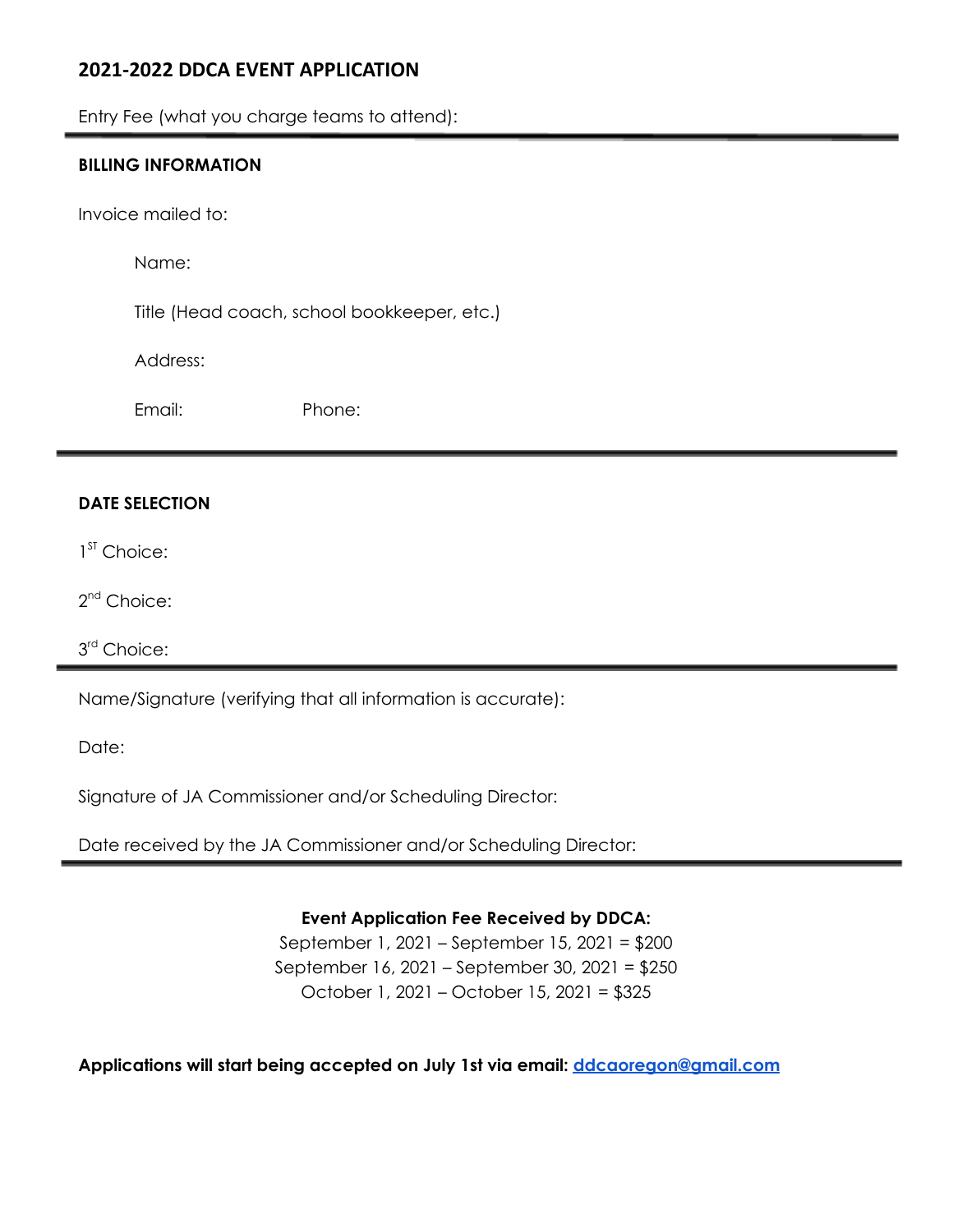## **2021-2022 DDCA EVENT APPLICATION**

Entry Fee (what you charge teams to attend):

#### **BILLING INFORMATION**

Invoice mailed to:

Name:

Title (Head coach, school bookkeeper, etc.)

Address:

Email: Phone:

#### **DATE SELECTION**

1<sup>ST</sup> Choice:

2<sup>nd</sup> Choice:

3 rd Choice:

Name/Signature (verifying that all information is accurate):

Date:

Signature of JA Commissioner and/or Scheduling Director:

Date received by the JA Commissioner and/or Scheduling Director:

**Event Application Fee Received by DDCA:**

September 1, 2021 – September 15, 2021 = \$200 September 16, 2021 – September 30, 2021 = \$250 October 1, 2021 – October 15, 2021 = \$325

**Applications will start being accepted on July 1st via email: [ddcaoregon@gmail.com](mailto:ddcaoregon@gmail.com)**